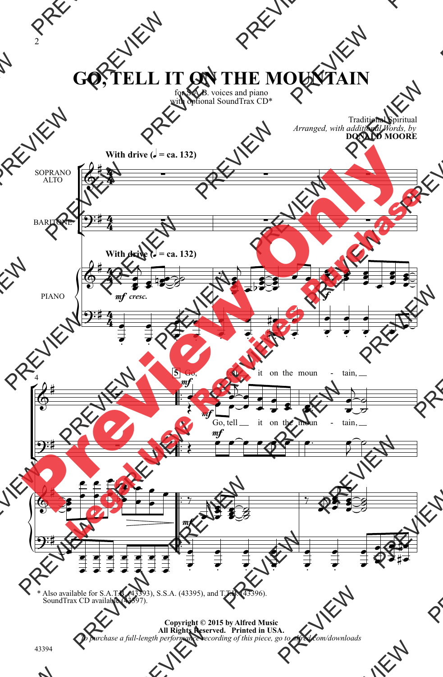## **GO, TELL IT ON THE MOUNTAIN**

for S.A.B. voices and piano with optional SoundTrax CD\*

Traditional Spiritual

**DONALD MOORE**

*Arranged, with additional Words, by*

 $\mathsf{K}$ ľ  $\left\{\begin{matrix} 1 \\ 0 \\ 0 \end{matrix}\right\}$ ے<br>آ l  $\left\{\begin{matrix} 1\\ 1\\ 1\end{matrix}\right\}$ With drive  $\left(\frac{\partial}{\partial t}\right) = \text{ca. } 132$ **With drive (** $\sqrt{ }$  **= ca. 132)** SOPRANO ALTO BARITONE PIANO 4  $\frac{1}{1}$  $\frac{1}{1}$  $\frac{1}{1}$  $\frac{1}{\cdot}$  $\frac{1}{1}$  $\vdots$  $\frac{1}{1}$  $\frac{1}{1}$ **5** 4  $\frac{4}{4}$ 4  $\frac{4}{4}$ 4  $\frac{4}{4}$ 4  $\frac{4}{4}$  $\delta^*$  $\frac{1}{2}$  and  $\frac{1}{2}$  and  $\frac{1}{2}$  and  $\frac{1}{2}$  and  $\frac{1}{2}$  and  $\frac{1}{2}$  and  $\frac{1}{2}$  and  $\frac{1}{2}$  and  $\frac{1}{2}$  and  $\frac{1}{2}$  and  $\frac{1}{2}$  and  $\frac{1}{2}$  and  $\frac{1}{2}$  and  $\frac{1}{2}$  and  $\frac{1}{2}$  and  $\frac{1}{2}$  a  $\delta^*$ f  $9:4$ mf *cresc.*  $\stackrel{\text{\tiny 1}}{\diamond}$ Go, mf mf Go, tell tell it on the moun it on the moun tain, tain, - -  $\frac{m}{2}$   $\mathbf{\Omega}:\sharp$ mf  $\frac{1}{\sqrt{2}}$  $\bullet$  $\frac{1}{2}$  $\overline{a}$  $\overline{\mathbf{S}}$  $\overline{\mathbf{S}}$  $\mathcal{L}$  $\frac{1}{2}$ Į 1  $\overline{\phantom{a}}$  $\overline{\phantom{a}}$  $\overline{a}$  $\frac{1}{2}$ **3**  $\frac{1}{2}$ **FEE** 3  $\frac{1}{2}$  $\overline{\phantom{a}}$  $\frac{2}{\epsilon}$  $\overline{\phantom{a}}$  $rac{1}{2}$  $\overline{\bullet}$  $\overline{\bullet}$   $\overline{\bullet}$  $\frac{1}{2}$  $\frac{1}{2}$  $\frac{1}{\sqrt{2}}$  $\frac{1}{\bullet}$   $\overline{\phantom{a}}$   $\overline{\phantom{a}}$ ₹ 4  $\overline{1}$  $\overline{\phantom{a}}$ Ī  $\frac{1}{4}$ V. Z  $\overline{\cdot}$  $\overline{\phantom{0}}$  $\frac{1}{2}$  $\overline{\phantom{0}}$  $\overline{\cdot}$  $\overline{\bullet}$  $\frac{1}{2}$ ₹ **AY**  $\overline{\phantom{a}}$  $\overline{\phantom{a}}$  $\ddot{\bullet}$  .  $\frac{1}{2}$  $\frac{1}{\cdot}$  $\ddot{\mathbf{z}}$  $\overline{\bullet}$  $\frac{1}{\cdot}$  $\frac{1}{\bullet}$  $\overline{a}$ Z ₹ p  $\overline{\bullet}$ s<br>P  $\overline{\phantom{a}}$  $\begin{array}{c} \bullet \\ \bullet \\ \bullet \end{array}$  $\overline{\bullet}$  $\overline{\phantom{0}}$ EV. E J  $\frac{1}{\sqrt{2}}$  $\frac{1}{\sqrt{2}}$  $\begin{array}{c} \bullet \\ \bullet \end{array}$  $\overline{\phantom{0}}$  $\overline{\phantom{a}}$  $\frac{5}{3}$  $\overline{\mathbf{S}}$  $\frac{2}{3}$ **.**<br>3  $\epsilon$ z  $\overline{\mathbf{g}}$  $\overline{\phantom{0}}$  $\overline{\ }$  $\overline{\phantom{a}}$  $\overline{\mathbf{z}}$  $rac{1}{2}$  $\overline{\mathbf{S}}$  $\frac{1}{2}$  $\overline{\mathbf{g}}$  $\frac{1}{2}$  $\overline{\phantom{a}}$  $\overline{\phantom{a}}$  $\begin{array}{c}\n\bullet \\
\bullet \\
\bullet\n\end{array}$  $\begin{array}{c}\n\bullet \\
\bullet \\
\bullet\n\end{array}$  $\begin{array}{c}\n\bullet \\
\bullet \\
\bullet\n\end{array}$  $\begin{array}{c}\n\bullet \\
\bullet \\
\bullet\n\end{array}$  $\begin{array}{c}\n\bullet \\
\bullet \\
\bullet\n\end{array}$  $\begin{array}{c}\n\bullet \\
\bullet \\
\bullet\n\end{array}$  $\frac{1}{\epsilon}$  $\frac{1}{\bullet}$  $\frac{1}{2}$  $\frac{1}{2}$  $\frac{1}{2}$  $\frac{1}{\bullet}$  $\frac{1}{2}$  $\frac{1}{2}$  $\frac{1}{2}$  $\frac{1}{\bullet}$  $\frac{1}{2}$  $\frac{1}{\bullet}$  $\frac{1}{2}$  $\frac{1}{2}$  $\frac{1}{2}$  $\frac{1}{\frac{1}{\sqrt{2}}}$ ⋕┙  $\ddot{\ddot{\texttt{H}}}$ **CO, TELL IT ON THE MOU**<br>
For SAR veloces and plano<br>
with drive  $(i = ca, 132)$ <br>
SOPRANO<br>
ARTIONE PREVIEW PREVIEW PREVIEW PREVIEW PREVIEW PREVIEW PREVIEW PREVIEW PREVIEW PREVIEW PREVIEW PREVIEW PREVIEW PREVIEW PREVIEW PREVIEW CO, TELL IT ON THE MOUNTAIN<br>
SURVEY PREVIEW PREVIEW PREVIEW PREVIEW PREVIEW PREVIEW PREVIEW PREVIEW PREVIEW PREVIEW PREVIEW PREVIEW PREVIEW PREVIEW PREVIEW PREVIEW PREVIEW PREVIEW PREVIEW PREVIEW PREVIEW PREVIEW PREVIEW P CO, TELL IT ON THE MOUNTAIN PREVIEW PREVIEW PREVIEW PREVIEW PREVIEW PREVIEW PREVIEW PREVIEW PREVIEW PREVIEW PREVIEW PREVIEW PREVIEW PREVIEW PREVIEW PREVIEW PREVIEW PREVIEW PREVIEW PREVIEW PREVIEW PREVIEW PREVIEW PREVIEW PREVIEW PREVIEW PREVIEW PREVIE CO, TELL IT ON THE MOUNTAIN CO, TELL IT ON THE MOUNTAIN PREVIEW PREVIEW PREVIEW PREVIEW PREVIEW PREVIEW PREVIEW PREVIEW PREVIEW PREVIEW PREVIEW PREVIEW PREVIEW PREVIEW PREVIEW PREVIEW PREVIEW PREVIEW PREVIEW PREVIEW PREVIEW PREVIEW PREVIEW PREVIEW PREVIEW PREVIEW PREVIEW PREVIE PREVIEW PREVIEW PREVIEW PREVIEW PREVIEW PREVIEW PREVIEW PREVIEW PREVIEW PREVIEW PREVIEW PREVIEW PREVIEW PREVIEW PREVIEW PREVIEW PREVIEW PREVIEW PREVIEW PREVIEW PREVIEW PREVIEW PREVIEW PREVIEW PREVIEW PREVIEW PREVIEW PREVIE PREVIEW PREVIEW PREVIEW PREVIEW PREVIEW PREVIEW PREVIEW PREVIEW PREVIEW PREVIEW PREVIEW PREVIEW PREVIEW PREVIEW PREVIEW PREVIEW PREVIEW PREVIEW PREVIEW PREVIEW PREVIEW PREVIEW PREVIEW PREVIEW PREVIEW PREVIEW PREVIEW PREVIEW PREVIEW PREVIEW PREVIEW PREVIEW PREVIEW PREVIEW PREVIE Preview Preview Preview Preview Preview Preview Preview Preview Preview Preview Preview Preview Preview Preview Preview Preview Preview Preview Preview Preview Preview Preview Preview Preview Preview Preview Preview Previ Preview Concerns and Concerns and Concerns and Concerns and Concerns and Concerns and Concerns and Concerns and Concerns and Concerns and Concerns and Concerns and Concerns and Concerns and Concerns and Concerns and Concer  $\frac{2^{12}}{2^{12}}$ <br>  $\frac{2^{12}}{2^{12}}$ <br>  $\frac{2^{12}}{2^{12}}$ <br>  $\frac{2^{12}}{2^{12}}$ <br>  $\frac{2^{12}}{2^{12}}$ <br>  $\frac{2^{12}}{2^{12}}$ <br>  $\frac{2^{12}}{2^{12}}$ <br>  $\frac{2^{12}}{2^{12}}$ <br>  $\frac{2^{12}}{2^{12}}$ <br>  $\frac{2^{12}}{2^{12}}$ <br>  $\frac{2^{12}}{2^{12}}$ <br>  $\frac{2^{12}}{2^{12}}$ <br>  $\frac{2$ 

\* Also available for S.A.T.B. (43393), S.S.A. (43395), and T.T.B. (43396). SoundTrax CD available (43397).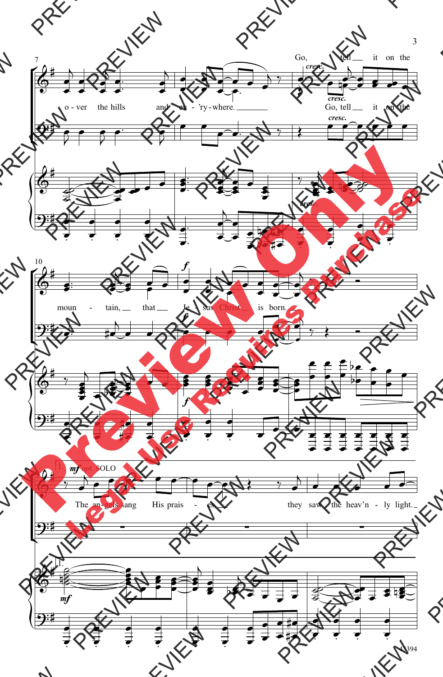

3

43394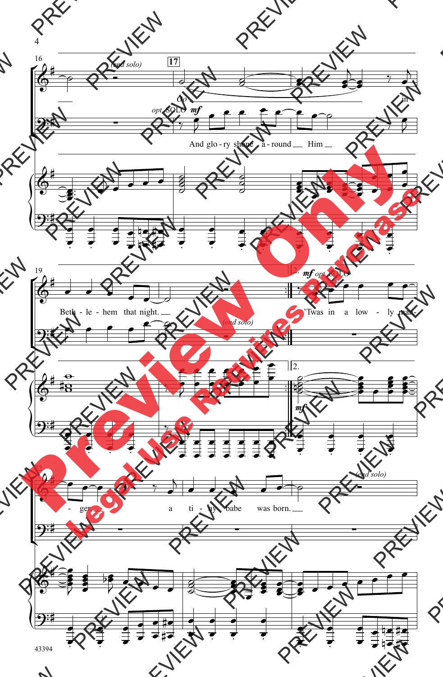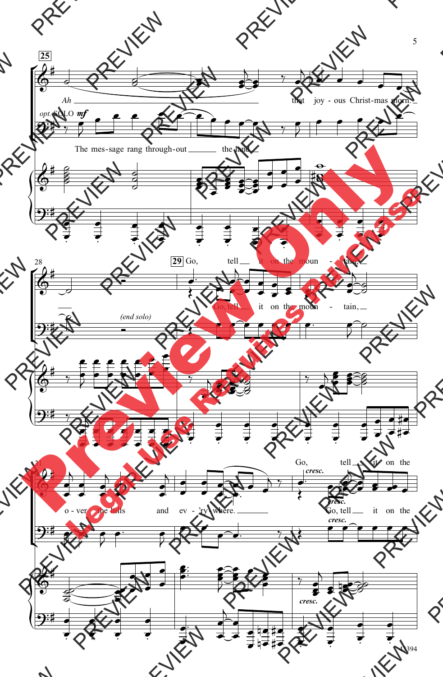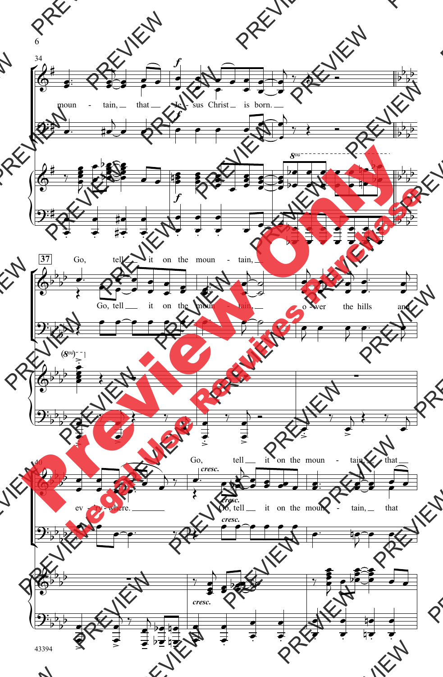